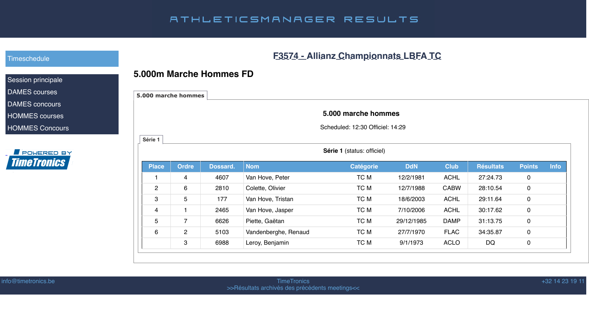| <b>Résultats</b> | <b>Points</b> | <b>Info</b> |
|------------------|---------------|-------------|
| 27:24.73         | O             |             |
| 28:10.54         | O             |             |
| 29:11.64         | O             |             |
| 30:17.62         | O             |             |
| 31:13.75         | N             |             |
| 34:35.87         | O             |             |
| DQ               |               |             |
|                  |               |             |

#### +32 14 23 19 11

## ATHLETICSMANAGER RESULTS

# **F3574 - Allianz Championnats LBFA TC**

#### **5.000m Marche Hommes FD**

| 5.000 marche hommes |                |          |                      |                                                         |            |             |                  |                |      |
|---------------------|----------------|----------|----------------------|---------------------------------------------------------|------------|-------------|------------------|----------------|------|
|                     |                |          |                      | 5.000 marche hommes<br>Scheduled: 12:30 Officiel: 14:29 |            |             |                  |                |      |
| Série 1             |                |          |                      | Série 1 (status: officiel)                              |            |             |                  |                |      |
| <b>Place</b>        | <b>Ordre</b>   | Dossard. | <b>Nom</b>           | <b>Catégorie</b>                                        | <b>DdN</b> | <b>Club</b> | <b>Résultats</b> | <b>Points</b>  | Info |
|                     | 4              | 4607     | Van Hove, Peter      | TC M                                                    | 12/2/1981  | <b>ACHL</b> | 27:24.73         | $\mathbf 0$    |      |
| 2                   | 6              | 2810     | Colette, Olivier     | TC M                                                    | 12/7/1988  | <b>CABW</b> | 28:10.54         | $\overline{0}$ |      |
| $\mathbf{3}$        | 5              | 177      | Van Hove, Tristan    | TC M                                                    | 18/6/2003  | <b>ACHL</b> | 29:11.64         | $\mathbf 0$    |      |
| $\overline{4}$      | $\mathbf{1}$   | 2465     | Van Hove, Jasper     | TC M                                                    | 7/10/2006  | <b>ACHL</b> | 30:17.62         | $\overline{0}$ |      |
| $5\overline{)}$     | $\overline{7}$ | 6626     | Piette, Gaëtan       | TC M                                                    | 29/12/1985 | <b>DAMP</b> | 31:13.75         | $\mathbf 0$    |      |
| 6                   | $\overline{2}$ | 5103     | Vandenberghe, Renaud | TC M                                                    | 27/7/1970  | <b>FLAC</b> | 34:35.87         | $\mathbf 0$    |      |
|                     | $\mathbf{3}$   | 6988     | Leroy, Benjamin      | TC M                                                    | 9/1/1973   | <b>ACLO</b> | <b>DQ</b>        | $\mathbf 0$    |      |
|                     |                |          |                      |                                                         |            |             |                  |                |      |